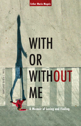# WITH OR WITHOUT ME

TRANSLATED BY ALTA L. PRICE

TRANSLATED BY ALTA L. PRICE

**A Memoir of Losing and Finding**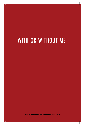### WITH OR WITHOUT ME

This is a preview. Get the entire book here.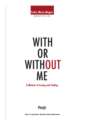#### **Esther Maria Magnis**

TRANSLATED BY ALTA L. PRICE

## WITH OR **WITHOUT** ME

### **A Memoir of Losing and Finding**

Plough

This is a preview. Get the entire book here.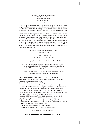Published by Plough Publishing House Walden, New York Robertsbridge, England Elsmore, Australia www.plough.com

Plough produces books, a quarterly magazine, and Plough.com to encourage people and help them put their faith into action. We believe Jesus can transform the world and that his teachings and example apply to all aspects of life. At the same time, we seek common ground with all people regardless of creed.

Plough is the publishing house of the Bruderhof, an international community of families and singles seeking to follow Jesus together. Members of the Bruderhof are committed to a way of radical discipleship in the spirit of the Sermon on the Mount. Inspired by the first church in Jerusalem (Acts 2 and 4), they renounce private property and share everything in common in a life of nonviolence, justice, and service to neighbors near and far. To learn more about the Bruderhof's faith, history, and daily life, see Bruderhof.com. (Views expressed by Plough authors are their own and do not necessarily reflect the position of the Bruderhof.)

> Copyright © 2022 by Plough Publishing House All rights reserved.

> > ISBN: 978-1-63608-026-0 26 25 24 23 22 1 2 3 4 5 6 7 8

Front cover image by Sanjeri/iStock.com. Author photo by Hank Visscher.

Originally published under the German title *Gott braucht dich nicht.* Copyright ©2012 by Rowohlt Verlag GmbH, Reinbek bei Hamburg. English translation copyright © 2022 by Alta L. Price.

A catalog record for this book is available from the British Library. Library of Congress Cataloging-in-Publication Data

Names: Magnis, Esther Maria, author. | Price, Alta L., translator.

Title: With or without me : a memoir of losing and finding / Esther Maria Magnis ; translated by Alta L. Price.

Other titles: Gott braucht dich nicht. English

Description: Walden, New York : Plough Publishing House, 2022. | Summary: "Where is God when your loved ones get cancer? With or Without Me is an unsparing and eloquent critique of religion. Yet Esther Maria Magnis's frustration is merely the beginning of a tortuous journey toward faith. Esther Maria Magnis knows believing in God is anything but easy, because he allows people to suffer"-- Provided by publisher.

Identifiers: LCCN 2021043191 (print) | LCCN 2021043192 (ebook) | ISBN 9781636080260 (paperback) | ISBN 9781636080277 (ebook)

Subjects: LCSH: Magnis, Esther Maria. | Christian biography--Germany.

Classication: LCC BR1725.M216 A3 2022 (print) | LCC BR1725.M216 (ebook)

| DDC 274.3/083092 [B]--dc23/eng/20211020

LC record available at https://lccn.loc.gov/2021043191

LC ebook record available at https://lccn.loc.gov/2021043192

Printed in the United States of America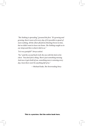"The Nothing is spreading," groaned the first. "It's growing and *growing, there's more of it every day, if it's possible to speak of more nothing. All the others fled from Howling Forest in time, but we didn't want to leave our home. The Nothing caught us in our sleep and this is what it did to us."*

*"Is it very painful?" Atreyu asked.* 

*"No," said the second bark troll, the one with the hole in his chest. "You don't feel a thing. There's just something missing. And once it gets hold of you, something more is missing every day. Soon there won't be anything left of us."*

— Michael Ende, *The Neverending Story*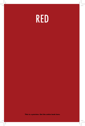

This is a preview. Get the entire book here.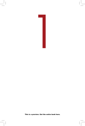

This is a preview. Get the entire book here.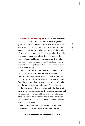#### **A thorn had scratched my leg.** It was from a blackberry bush. I had spotted three red dots in a field of yellow grain, and immediately sent my bike's silver handlebars, whose pink plastic grips gave me blisters because they were too small for my hands, swerving toward the side of the road. I had hopped off, letting my bike fall into the grass, and jumped over a little ditch. I'd heard a ripping noise– a thorn had torn a red gash into my leg, and a thin line of blood emerged. It wasn't much, just enough to turn the cut bright red without oozing out any farther to run down my leg.

I didn't care. Because there were the poppies, within reach. I wanted them. The wind was barely audible, the day and the fields were dozing in the sun, and the flowers' delicate petals fluttered as I yanked their roots from the soil, squashed their stems between my hands and the handlebars, and rode home. One leaf was lost on the way, and another as I pulled up to the door. And then, in the vase that evening, the blossoms drooped and the petals fell to the table. I tried this over and over as a kid. I'd always pluck another poppy, and was always a little disappointed when it wouldn't bloom as bright or as red in our kitchen.

Behind my closed eyes it was also red. From there, it was easy to sink into sleep. It was dark, too, but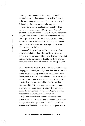not dangerous; I knew this darkness, and found it comforting. Only when someone turned on the light, or I tried to sleep at the beach – then it was too bright. Otherwise, I liked the red behind my eyelids.

I had a calendar with nature photography where I discovered a red frog amid bright green leaves. I couldn't believe it was real. I asked Mom, and she said it was, and that nature is full of amazing colors. She read me the photo caption from the calendar, and told me about the crabs in Africa whose red carapaces looked like caravans of little tanks crossing the road, back when she met my father.

I just can't imagine large red things in nature. I can picture bloodbaths, when whales with white bellies swim up to the surface, but I don't really want to call that nature. Maybe it is nature, I don't know. It depends on how you perceive human beings and the things they do.

The first thing my little brother and I asked to do was pet the puppies. Our babysitter's parents had a farm, and two weeks before, their dog had had a litter in their greentiled spare bathroom. Once we heard about it, we begged her every day for permission to see the newborn pups.

It stank in that bathroom, I bumped my head on the sink, all the little creatures were crawling about, and I asked if I could take one home with me, but the babysitter disregarded my question. Apparently I was supposed to ask my mother or father first.

Right next to the bathroom was a kitchen, and a bunch of old men sat on benches in the nook. There was a huge yellow ashtray on the table, like in a pub. The kitchen was filled with smoke. The men laughed as our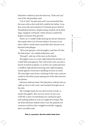babysitter walked us past the doorway. "Kids suit you," one of the old grandpas said.

"Cut it, Dad," the girl said, and I was astounded that the man with so few teeth left could be her father. I was four years old, and somehow I'd already grown fond of Westphalian farmers, despite being creeped out by their huge, chapped, red hands, which always crushed the fingers of anyone they greeted.

I had a tic: I couldn't help clearing my throat whenever they spoke their Low German dialect, because to me their rolled r's made them sound like their throats were blocked with phlegm.

"We're just going to visit the piglets, and then I'll take the kids home," our chubby babysitter said.

"Atta girl," said one of the men on the bench.

The piglets were in a crate right behind the kitchen, in a dark little passageway. One wall of the crate was just a bunch of nailed-in planks, so at first you could only hear a muffled, high-pitched snorting and a light bumping sound against wood and a shuffling of straw on stone. The only light came from a red lamp in the crate, and you could see the little snouts poking out of the slits between the planks.

Johannes held my hand. The babysitter walked with us, right up close to the crate, and I peeked through one of the slits.

The red light made my eyes feel too hot to look, or maybe the piglets' skin was too warm. In any case, it felt like a layer of something was coating my gaze, and nothing looked as real as I might have hoped. But my little-kid heart melted when I saw the pinkish-red creatures and how they wriggled excitedly, wagging their wormlike tails.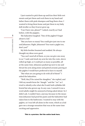I just wanted to pick them up and kiss their little wet snouts and pet them and rock them in my hand and lather them with pink shampoo and hug them close. I wanted to bring them home and put them in my baby doll stroller so they'd never grow up.

"Can I have one, please?" I asked, exactly as I had before, with the puppies.

The babysitter laughed. "One of the piglets? Forget about it, kid."

"But you have so many! You could give just one to me and Johannes. Right, Johannes? You want a piglet too, don't you?"

My little brother beamed and nodded. He always thought my ideas were good.

"You can't need all of them, so you can give one away to us," I said, and stuck my arm far into the crate, sleeve rolled up high, so I could pet as many as possible, all at the same time. Johannes pushed up next to me and thrust his arm along mine and patted around, pawing at the piglets I would have preferred to have to myself.

"But what are you going to do with all of them?" I asked the babysitter.

"Well, they'll be raised for slaughter," she replied, and I felt my mouth form the "slaugh-" and the "-ter" as I tried to silently echo what she'd said; both syllables felt brutal but also grown-up. In any case, I sensed it was a word adults might be annoyed at being asked about. So I didn't ask. I couldn't have, anyway, because in the meantime Johannes had peed his pants and the babysitter had taken him to the bathroom. I wanted to stay with the piglets, so I was left all alone in the room, which as a kid gave me a strange sensation that was at the same time exciting and oppressive.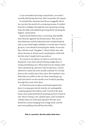I can't remember how long I stayed there, nor what I actually did during that time. But I remember the squeal.

It sounded like someone had thrust a jaggedly sliced tin can into the mouth of a screaming woman. It rattled from the windpipe, through the nose, groaning, arising from the belly and suddenly growing shrill, reaching the highest, airiest pitch.

It pierced the hallway door, a towering, dark double door directly opposite the kitchen door. This was the door Johannes and the babysitter had vanished behind and, as my initial fright subsided, it was the door I had to go up to. I was afraid of annoying the adults. It was just like with the word "slaughter," which I didn't dare ask about, because it clearly wasn't anything for a little kid, but this time I simply *had* to go and see.

As I stood on my tiptoes in order to reach the iron doorknob, I was more afraid of being caught than of seeing something scary. What kind of scary thing could I have dreamed up, anyway? I had no pictures. I wasn't allowed to watch the news, hardly watched TV; I'd only been in this world a mere four years. But somehow even little kids can sniff it in the air when something's up, and I just had to see for myself, even if only by peeping through the crack of the door.

As I bent forward on tiptoe and leaned against the door, it swung open slowly, heavily, yet unstoppably, crashing against the hallway wall. I stood in the doorframe and could smell blood steaming up from a kind of tub. Above it hung a sow, slashed open, and I wondered whether that was what had squealed. Her feet were bound by a noose hanging from a huge hook, and the men were pulling red stuff from her belly.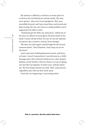My memory is filled by a red haze; in some spots it's as dark as the red behind my closed eyelids. The men wore aprons – they were towering figures. They were incredibly focused, and I just stood there and stared and kept staring, the way you stare at a math problem you're supposed to be able to solve.

"Somebody get the little one outta here," yelled one of the men in a blood-covered apron. He had a knife in his hand. I wasn't afraid of him. For me, he was the epitome of a grown-up: a massive, serious, busy stranger.

The door was shut again, and through the slit I heard someone shout, "Anni! Dammit, Anni, keep an eye on the brats!"

Anni came back, holding Johannes's hand, and drove us home. I wasn't traumatized. I was fed meat as a child. Sausage and a slice of bread. *Kinderwurst,* a fun-shaped baloney, at the butcher. I had no choice, no way of opting out. Just like my baptism. In both cases, nobody asked me. The first thing I drank was milk. Then came pureed vegetables and, with my first teeth, meat.

From the very beginning, I went along with it.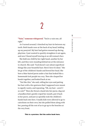### $\overline{2}$

"Vain," someone whispered. "You're a vain one, all right."

As I turned around, I clenched my hair tie between my teeth. Both hands were at the back of my head, holding up my ponytail. My hair had gotten mussed up during playtime. I just wanted to quickly straighten it out again, and now I found myself staring at an old woman's face.

She held one child by her right hand, another by her left, and they were standing behind me at the entrance to church. She said: "God doesn't care about superficial things like your beautiful hair. Here's how it's done." She let go of the children's hands and bowed her head. She bore a blue-haired perm under a hat that looked like a homemade knit purple tea cozy. Then she clasped her hands together, and looked back at me.

"Not like this," she said, rolling her eyes and patting her hair with a few gestures that I supposed were meant to signify vanity, and repeating, "Oh, my hair – aren't I so cute?" Then she thrust a hand into her purse, dug out a handkerchief, quickly wiped her mouth, put it back in her purse, and just as speedily took the children's hands back into hers. Usually kids were allowed to go to catechism on their own, but she pulled them along with her, passing all the rest of us to go up to the benches at the very front.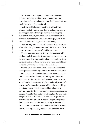This woman was a deputy in the classroom where children were prepared for their first communion. I never had to deal with her after that, but I was afraid she might be a direct deputy of God.

I just wanted to look put together while entering church. I didn't want my ponytail to be hanging askew, starting just behind my right ear and then flopping forward all by itself, while the hair on the other half of my head danced in the air like haunted spaghetti after my wool pullover had given it a static charge.

I was the only child who didn't become an altar server after celebrating first communion. I didn't want to. "I do *not* want to serve the priest," I told my mother.

"You are not serving the priest, you're serving God," she had replied, but at the time, that had struck me as an excuse. The entire Mass centered on the priest. He stood behind his altar just like my teachers stood behind their lecterns, and we had to kneel in front of him.

It was similar with confession. I was actually excited at the prospect of taking a seat in the confessional, until I found out that we first communicants had to have the initial conversation directly with the priest, because someone had decided the confession box was too impersonal. Maybe. I'm not sure. Maybe our church just didn't have a confessional. But people told me the same things about confession that they had told me about altar service– namely, that you weren't confessing your sins to the priest, but to God. But now, talking face-to-face with the priest, it sure didn't feel like that. The night before my first communion I lay in bed and hoped and prayed that I would find God the next morning in church. We first communicants had to stand in a half-circle around the altar, facing the congregation. Everyone looked at

This is a preview. Get the entire book here.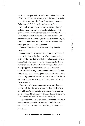us. A host was placed into our hands, and on the count of three (once the priest was back at the altar) we had to place it into our mouths. Something about it made me feel ashamed. As I chewed, I looked at my feet.

All in all, my parents were fairly understanding of us kids when we were bored by church. I even got the general impression that most people found church somewhat less perfect than they'd have liked. When I was growing up, in the eighties, there was just something in the  $air - a$  sense that something was unfinished. That some goal hadn't yet been reached.

I'd heard it said that too little was being done for the youth.

Sometimes during Mass a band at our church would play catchy tunes like "Laudato sí" and a song urging us to plant a tree that would give us shade, and build a house that would protect us, or something like that. I didn't really understand it, but I did my best to warble along, tapping my feet to the beat as the drum and flute stumbled through the stanzas. Moments like that weren't boring, which was good. But I never would have voluntarily gone to Mass just to hear the band, that's for sure. It was just something for the kids who had to sit there anyways.

The real revolt in our household occurred when my parents tried taking us to an ecumenical service for a second time. As soon as she heard the word, my sister Steffi protested loudly, and I whispered something about "ecumenical bullshit." My mother was angry.

"Your father and I have an ecumenical marriage. There are countries where Protestants and Catholics are at war. I don't ever want to hear anything like that from you again."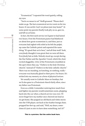"Ecumenical." I repeated the word quietly, rolling my eyes.

"You're so mean to us!" Steffi groaned. "Please don't make us go. The last ecumenical service went on for ten hours. It was awful. Can't we *please* just stay home?" At some point my parents finally took pity on us, gave in, and left us at home.

In fact, the first such service we'd gone to had lasted two hours. First the Protestant pastor had blathered on about how great ecumenism is, and then, just as everyone had sighed with relief as he left the pulpit, up came the Catholic priest and repeated the same thing: "It's good that we're here," and all that stuff. Yeah, everybody thought it was great that we were all there. Everybody but us kids. Nobody stood up, except during the Our Father and the Apostles' Creed, which the choir recited sluggishly. A few of the Protestants stumbled at the spot where they say, "I believe in the holy Christian church," instead of "I believe in the holy catholic church." There was no standing, no kneeling, no nothing, really – everyone was basically glued to their pews. For hours. It's etched into my memory as a form of physical torture.

We usually went to Catholic Mass on Sundays, but we'd also gone to a Protestant church fairly often, since my father was Protestant.

Even as a child, I remember noticing how much freer and lighter my parents would sometimes seem, plopping back into the car when a church service was over. I'll never forget how my mother once cheered out loud as we got home. She popped an old black-and-white movie into the VHS player, sat back in her leather lounge chair, propped her feet up, and said, "Well, my dears, sometimes it's just so nice to have done something, isn't it?"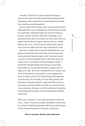Actually, I liked God. I often found him boring in church, but aside from that I found him fundamentally intriguing. There seemed to be something insane about him, and also something gentle.

He was clearly fond of John, who ran around the desert half-naked like some exhibitionist, covered only partially by camel hide, yelling his lungs out and munching on locusts. And he seemed to like that revoltingly crazy possessed man, who was totally out of his mind. He even spoke with the devil. He gave orders to the sea. And he bled on the cross – from his head and his back, and he was covered in filth and welts. He seemed pretty wild.

But then, at other times, I got the feeling that he wore glasses, knotted his hair into a bun, had a long beard, and stared dead ahead, empty-eyed. I had once heard a pastor say that God didn't like it when kids went out to play soccer on Sundays instead of going to Mass. I found this thought deeply distressing. It wasn't like the Sunday soccer matches had been organized by us eight-year-olds. They were scheduled by the coaches and a few of the parents, and as kids we were supposed to listen to them, weren't we? I found that pretty ignorant on God's part. Sort of stuffy. Or more like grumpy. But then those moments passed. I squirreled them away in my memory, but they didn't override my interest in him or my attention. Because as a kid I mostly just found him extraordinarily beautiful. And extraordinarily friendly. And weird.

There was a moment  $-I$  was still quite little, maybe five or six– when I was all of a sudden absolutely certain that he existed. I think the gratitude I felt for the sheer beauty of that moment bound me to him for a long time.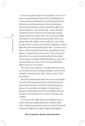It was one night in Spain, on the Atlantic coast. I was alone, on a promenade. My parents and siblings were in the restaurant behind the sea wall lining the beach. My father was a businessman whose international trade work frequently took him around the globe. He often brought us –the whole family– along. We kids sometimes had to be there for his meetings, and get along with his coworkers' kids. We were always polite and attentive. We would teach each other how to say things like *table, napkin, waiter, knife, fork, spoon, fish, shrimp,* and *ice cream* in one another's language. I always liked the smell of the Spanish girls' hair – it struck me as festive. That evening the client was a good friend of my father's. I already knew his two sons – they were much older than I was, and already absorbed in the adults' conversation, in English. Steffi and Johannes were still spooning their ice cream out of coconut half shells. I didn't want any. I was bored.

"Don't go too far, Estherle," my father had said to me as I stood at his side, stroking my fingers on his tie and asking if I could leave the table. "Nope, I won't. I'll be just outside."

The other businessman looked at me the way foreigners look at kids speaking German with their parents – quizzically, bemused– and then said something nice about me to my father, in English. I already knew. I grinned, a little embarrassed but also flattered by the attention. He winked at me. I tried to wink back, but couldn't.

As I stood at the table, the ocean suddenly came to mind. It had been right behind that wall the whole time. I wanted to go and see what it was like all by itself, without beachgoers, by night. I slipped through the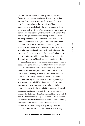narrow aisle between the tables, past the glass-door freezer full of gigantic gawking fish on top of crushed ice, and through the restaurant's swinging doors. Out into the orange glow of the streetlights. Then I turned the corner and headed onto the promenade, and there, black and vast, lay the sea. The promenade was actually a boardwalk, about three yards above the wide beach. The surrounding terrain was full of large sandstone rocks rising up from the dark sand below. I could smell it. I went a little farther, just beyond the streetlights' reach.

I stood before the infinite sea, with no endpoint anywhere between the left and right corners of my eyes. That's how far the beach stretched. I walked over to the rocks, which came up to my bellybutton, climbed onto one, and sat down with my legs dangling over the edge. The rock was warm. Muted strains of music from the restaurant reached my ears. Spanish music, and voices of people who go to dinner around ten thirty at the earliest.

I could only barely make out the hazy shape of the waves in the darkness, but I heard the sound of their breath as they heavily exhaled onto the shore about a hundred yards away, rolled themselves over the sand, and then sharply drew air back in through pursed lips. That's what it sounded like. There were no lights, just the moon on the water, shining from far behind me. I hummed along with the sound of the waves, and looked out across the broad beach all the way to the narrow strip in the distance, where the gleam of the water ended and the dark of the sky began. The cosmos. I don't know whether I already knew that word. While I was watching, the depth of the heavens – something you glean when you stare at the stars – began to grow right in front of me. It was a sensation I'd never known; it was utterly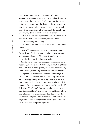new to me. The sound of the waves didn't soften, but seemed to take another direction. Their whoosh was no longer toward me, to my little place on top of the rock, but rather outward into the distance. The rocks and the sea, the glimmer on the water's surface, the stars and everything behind me – all of this lay at the feet of what was bearing down from the new depth of sky.

I felt like an unnoticed part of this whole, and found it beautiful. I waited, and watched, though I had no idea what was actually happening.

Inside of me, without consonants, without vowels: my name.

The world wasn't stepping back, but I was stepping forward, out of it. Out from the night, because my name was echoing within me. The entire time. And with certainty, though without me saying it.

It had a gravity that was loving and at the same time absolute, unconditional. Not the way an adult might look at a child. And in its lingering gaze there was something indescribable, something heartening, that gave me the feeling I had to take myself seriously. A knowledge of myself that I couldn't fathom. Encouraging and at the same time approving, authorizing. I was so astonished that I have no idea how long I sat there. And then all of a sudden I was pretty sure, and burst out: "You're God?" Thinking: "That's God? That's what adults mean when they talk about him?" And because I found his devotion and affection so touching, I raised my hand from the warm rock and gave him a little wave. And because I felt so grateful, I decided to give him a little gift. I stood up on the rock and composed a prayer.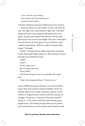I rest, I dream, I go to sleep, dear God, protect me and keep me always in your hands . . .

And then I faltered, because I didn't know how to put it. "... Keep me always in your hands, so that I can find the way. The right way. I must find the right way." I strolled along the beach, then stopped and looked out to sea again, my gaze returning to the horizon. But the only glistening I saw was the moonlight. The waves whooshed onto the beach. God was gone. It was a letdown, and I couldn't understand. "Well, he could've stayed a little longer," I thought.

"Steffi?" I whispered that night, right after we'd gone to bed. She hadn't fallen asleep yet. Mom had just turned the light out and left the room.

"Steffi?"

"Yeah?"

"God is super nice."

She was quiet for a bit.

"How's that?"

"He thinks I'm good. You too, probably. He's super nice."

"Yeah," she whispered back, "I think so too."

All my childhood prayers rhymed. As I entered adolescence, they were mainly a bunch of blather. Well, not entirely. Before every math, chemistry, physics, Latin, French, or English exam I prayed with the intensity of a beggar. If I got an A, I cheered. "Awesome, thanks!" If I got a C, I was silent, with that awful feeling many people know– the feeling you get when you've prayed and rustled up the necessary faith only to find yourself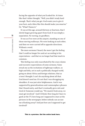facing the opposite of what you'd asked for. At times like that I either thought, "Well, you didn't study hard enough. That's what you get. God wants you to give it your best, and a blow like this should make you smarter." Or, "What? Damn it."

It was at this age, around thirteen or fourteen, that I slowly began growing apart from God. It was simply a separation. No waving, no goodbyes.

It was as if we were at the airport, standing on one of those moving walkways. We were looking at each other, and then we were carried off in opposite directions. Without a word.

The more sermons I heard, the more I got the feeling that I could no longer live and act according to his expectations– and that we no longer had that much in common.

This feeling was only exacerbated by the crazy claims and excessive expectations of some sermons. Some struck me as the recitations of tightrope walkers, so high and lofty, set in such a politically charged world, going on about Africa and foreign relations, that as a teen I thought: I can't do anything about all that. God doesn't need me. It's not that I was shrugging my shoulders. It was just utter helplessness. And it was supported by generalizations and commonplace phrases that I found nutty, and that I eventually grew sick and tired of. Someone would say, "We mustn't look away, we must get involved." And I'd think: How long do I have to gawk at the TV, how long am I supposed to stare at the pictures in the newspaper, before nobody can accuse me of looking away? And just how am I supposed to get involved?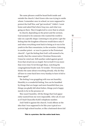The same phrases could be heard both inside and outside the church. I don't know who was trying to outdo whom. I remember once in school, we were supposed to protest the Gulf War, and "get involved." I didn't. I went home and asked Dad where Iraq was, and what was going on there. They'd neglected to cover that in school.

In church, depending on the priest and the sermon, God seemed to be someone who wanted the world to take on a specific shape. Listening to one priest, I got the feeling that the kingdom of heaven would dawn only if and when everything went back to being as it was in his youth in the Harz mountains, in the seventies. Listening to another priest– or was it a pastor in the Protestant church?– I got the feeling that God's will seemed to be, mostly, that the conservative Christian Democratic Union be voted out. Still another railed against greed. Even that struck me as stupid. Not in itself. It was more that every time I'd sit through Mass, watching the congregational leader nod, I'd wonder, "If everyone here thinks the same about everything already, why do they all have to come back here every Sunday to have it fed to them again?"

The feeling I was grappling with was not humility. Humility is a wonderful feeling. You can be humbled by things that are larger and more beautiful than you, things you gladly fall silent before, things you're happy merely to be in the presence of.

This wasn't humility. All the things that God apparently wanted from me were impossible. After all, it's not as if I had Chancellor Kohl's telephone number.

And I held it against the church. I took offense at the idea that I was supposed to be like your typical ecoactivist high school teacher, or like a buttoned-down kid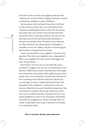from back in the seventies who giggles at phrases like "making out" and who thinks singing "Kumbaya" around youth-group campfires is super-rebellious.

My encounter with God hadn't been that. I still had no idea what he wanted, but I was interested in him; somehow something bound me to him. His divineness. His reality. But a lot of what I'd heard about him had turned him into a stuck-up moralizer who, just for fun, had come up with the idea that people should go to church every Sunday. Why? No idea! It's just what you do. More and more, my relationship to God began to resemble a worn-out, rubbery old piece of chewing gum that had been chomped on for too long.

I knew you should love your neighbor. I also knew the question: "But who is our neighbor, dear congregation? Who is our neighbor? It is the outcast, the beggar, the leper, the prostitute . . ."

But I hadn't, not even once in my entire life, seen a prostitute. A beggar, sure, but not in my hometown. And leprosy? I didn't know anyone who had that. Such neighbors seemed far away indeed. That might be practical for people who are accustomed to the idea that God doesn't have anything to do with their daily lives. But for me, as a teenager, it wasn't. I hoped and intuited that God belonged to this world here. I wanted him to like me, because I liked him, because I found him important. But, in all honesty, somehow, by the age of fourteen, I had also come to understand that it's good to be nice to my actual neighbors as well. To my classmates and friends when they're struggling; to comfort and help them, if I could. I really didn't need to go to church every Sunday to be reminded of that.

This is a preview. Get the entire book here.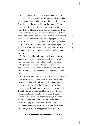And since everything I heard said in such sermons could also be heard on all the talk shows and everywhere else – sometimes in different words, but usually the same formulations– the notion that maybe going to Sunday Mass was utterly superfluous began sneaking into my mind, little by little. The world had enough morals. They were constantly flung at us, from all directions. That we should show consideration to minorities and take care of the weak, and that politicians are bad people. For that, you didn't really need to go to Mass – the young atheists in my class were right about that. "You can be a perfectly good person without believing in God." True. Just like you could also be an annoying moralizer without going to church.

On TV you could watch women with heavy blue eye shadow and enormous earrings jangling next to hair that was long on one side and undercut on the other, yelling at each about how "this system is wrecking the earth, humans are the destroyers, down with TetraPak!" And you could go to a sermon and hear exactly the same thing.

And so I was often astonished at how such huge swaths of society went out of their way to draw a line between themselves and the church. I found that there was just one tiny step separating the Christians I knew from everyone else. They all wanted to save the environment. They all wanted to be tolerant toward other religions, though also to see a little less of the pope. They all wanted church to be a little more relaxed; it all came back to our common "humanity," and so on. Even the images hanging in the showcases in the lobby of our little church looked exactly like the ones from UNESCO and similar organizations: a big globe ringed by children of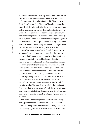all different skin colors holding hands, nice and colorful. Images like that were popular everywhere back then.

"Paint peace." That's how I painted it. "Portray love." That's how I painted it. "Today we'll explore reconciliation." That's how I painted it. It worked out great, as long as the teachers were always different and as long as we were asked to paint, not to debate. I muddled my way through these pictures in various classes and always got an A. By then I knew that no teacher could possibly resist an image like that: they presumed it portrayed what we kids yearned for. Whereas I presumed it portrayed what my teacher yearned for. Final grade: A. Thanks.

The only thing that made the church different from society at large, as I saw it then, was that the church believed that Jesus was very important. But even there, the more that Catholic and Protestant descriptions of him swirled around in my head, the more I lost interest.

I had plenty of other friends. As a fourteen-year-old, I really didn't need another – certainly not an invisible one, much less one who looked like a Middle Eastern pacifist in sandals and a long beard who, I figured, couldn't possibly take much of an interest in me, since I was neither a prostitute nor a tax collector. Plus, we had a Mercedes I was sure wouldn't fit through the eye of a needle. The more low-threshold the version of Jesus was that we were being offered, the less my friends and I could relate to him. You might as well just file him right next to Gandhi under the category "guys who were all right."

And when I heard the general intercessions during Mass, provided I could understand them – they were often recited by children who couldn't really read yet, or had a heavy lisp, or were unable to decipher words like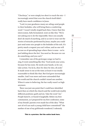"Chechnya," or were simply too short to reach the mic – I increasingly noted that even the church itself didn't really have much confidence in Jesus.

"Lord, in your goodness: many are ailing; send people to their bedsides, who will bring them a comforting word." I wasn't totally stupid back then. I knew that this intercession, fully formulated, went on like this: "We're not asking you to do the impossible. Since you usually don't do much of anything, and so as not to wear out the stories of miracles performed by Jesus, maybe you could just send some nice people to the bedsides of the sick. It's pretty much a request you can't refuse, and no one will accuse us of spreading hope where there is none – we're just holding down the fort. You need us. Because we can do something, and you can't."

I remember one of the grotesque songs we had to sing. It went something like this: "God needs your arms, because he has none. He needs your hands, so he can take action. Tra-la-la, shoo-be-shoo-be-doo, oh yeah." It made sense to me at the time; at least it was totally reasonable to think like that. But God grew increasingly smaller. And I was more and more astounded that the world and the church couldn't stand one another. When it came to believing, the bar really wasn't so high anymore.

There was just one point that I could have identified back then on which the church and the world took starkly different positions: guilt and sin. Take the word "sin." People hated it, or found it laughable. Before my first communion, as I prepared for my first confession, some of my friends' parents even made fun of the idea: "What sort of evil can such a young child have committed?" the mother of one of my girlfriends wondered. I solemnly

#### This is a preview. Get the entire book here.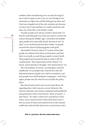nodded, while remembering, for a second, the frog I'd once tried to squeeze into a toy car even though it was obviously too tight a fit; and the little girl my sister and I had once dangled out of the attic window, just because we knew she'd wail and then we could console her and take care of her like a real mother would.

Or guilt: people were always sensitive about that. I'd heard it said that guilt was what was used to control the masses during the Middle Ages. And before the Middle Ages people were especially afraid, because it was "so dark," as we'd all learned from Ken Follett. So people accused the church of playing games with guilt.

Meanwhile I heard it said on TV and in school that people are influenced by their environment, and that there is actually no such thing as guilt, in and of itself. That people had invented the idea in order to fill the confessionals. "How hypocritical of the church," I'd heard. And sometimes I thought, "how hypocritical," too.

The real problem, of course, was bad genes and bad childhoods. Or so people said. And the fact that oldfashioned notions of guilt were still in circulation, and that people were still looking for scapegoats – well, there again, people said, the church was actually the guilty party.

But church and society were of one mind above all regarding their chief concern: correct behavior. The church's opinions were always explained and justified by interpretations of the word of Jesus. Those of society - I don't know– by values, which were around here somewhere, since someone had written them down once. I lost my sense of what God wanted of me in life, beyond traffic laws and all other basic laws, social action, and a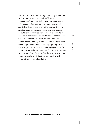heart and soul that aren't totally screwed up. Sometimes I still prayed to God. I held still, and listened.

Sometimes I sat in my little pink room, alone on my bed. Next door, Dad was napping; Mom was down in the kitchen. I could hear pots clattering, and Steffi on the phone, and my thoughts would turn into a prayer. It would stem from these sounds, it would resonate. It was rare, but sometimes the world even seemed to come to a halt, to turn off for a moment, and an unbridled, perfect, consummate "yes" would express its agreement, even though I wasn't doing or saying anything. I was just sitting on my bed. A plain and simple yes. But if I'm honest, no matter how nice I found that to be, in the long run, it was too little. Because God didn't want sanctimonious prayers, he wanted actions, as I had learned.

This attitude infected my faith.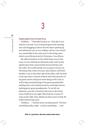### $\overline{3}$

#### **Empty plates lay in front of us.**

"Children . . ." Dad didn't look at us – if he did, it was only for a second, so as to keep his gaze from meeting ours and dragging us down into the abyss opening up just behind his eyes. It was midday, and we were seated at a round table in the room next to the living room, which was all decked out for Christmas. I was fifteen.

The oldest furniture in the whole house was in this room. It even still had an old hatch in the wall, for the dumbwaiter that connected the former kitchen and the cellar. The world outside was as quiet as always on Christmas Day, when everyone stays indoors with their families. I sat on the other side of the table, with my back to the bay where a bunch of black-and-white pictures of my great-uncles and great-aunts hung on the wall, as well as big round paintings of my great-grandmother smiling next to her husband and my somewhat sterner looking great-great-grandparents. To my left sat Johannes, near the curtained entryway to the living room. Steffi sat to my right. Mom had set a tureen of soup on the table, then silently sat down next to Dad. He looked almost bug-eyed.

"Children . . ." Another three seconds passed. "We have something really, really – we have something . . ." and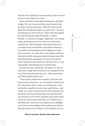then his voice choked, his eyes teared up, and we stared at him, scared. Dad never cried.

Mom took Dad's hand without looking up, and held it tight. We were frozen with fear, and I stared at the parting on her bowed head, a white line between her black hair. Finally she spoke, in a quiet voice. "We have something very sad to tell you." Dad's sobs interrupted her, but then he got ahold of himself. I couldn't breathe– it seemed as though a nightmare were taking shape, growing in toward us, from every direction, and then the walls dissipated, leaving just the five of us, seated at the round table, suspended in darkness. As quickly as it had appeared, the nightmare could have retreated – the walls, floor, and ceiling could have returned and the room gone back to being a room. But then Dad said he was going to die soon. He said the doctor had given them bad news. He had cancer, it was untreatable, and nothing more could be done.

My sister let out a soft shriek. She didn't cry, but her voice was so high that it seemed to be coming from her nose, if not from between her eyes. "Then what did he say? What did the doctor say?"

"Three weeks, maybe three months," Dad said, and from twenty yards away – no, even farther, from far, far off – I heard my sister crying – no, whimpering – and my brother, equally far away, cried, and Dad too –and inside me a stone rose from the pit of my stomach into my throat, the stone that had just been punched into my stomach, as if I weren't a girl but a guy with a knife whom you had to punch like that, as if I didn't have a soft belly and would never have gotten into a fistfight, as if I were a trained fighter who would recover from a blow like that in a few of days, as if it wouldn't tear me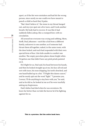apart, as if the fist were mistaken and had hit the wrong person, since surely no one could ever have meant to punch a child so hard they'd puke.

"But I don't believe it," the stone in my throat banged out, and my eyes spat out a few tears, and I took another breath. My body had to recover. It was like it had suddenly fallen asleep, like a cramped foot, with no circulation.

All around me everyone was crying and sobbing. Mom, Steffi, Dad, Johannes – each like a kid from a different family, unknown to one another, as if someone had thrust them all together, naked, in the same room, with the door locked, and each had responded with their own special form of fear. Like kids unable to comfort one another. The empty porcelain plates shone bright white. I'd gotten one that didn't have any pink petals painted on it.

He'd fight for us, Dad said, his head between his hands, and then he looked straight up at me, his face all red and wet with tears, his nose dripping, his teeth clenched, and one hand balled up in a fist. "I'll fight this damn cancer," and he nearly spit out the word "fight." "I promise you, I swear, I'll do anything to stay here with you," he said, and as he did so, he looked at me as if he were tearfully asking my forgiveness.

Dad's father had died when he was seventeen. He knew far better than we kids the horror he'd be fighting against for us.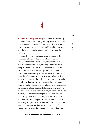### $\overline{4}$

**My memory only picks up** again a week or so later. Up in the mountains. I'm hiking, looking down at my boots. I can't remember any further back than that. The snow crunches under my feet, a bitter-cold wind is blowing, and the crisp, glittering crystals sting as they strike my face.

I smell the scarf covering my nose. It smells of the wardrobe it lives in all year when I'm not wearing it –of Dad's winter hat and after-shave, of Mom's leather gloves, of my brother's hair, our dog, and my sister. We're away from home. We've driven seven hours, out to our cabin in the Black Forest –my grandmother's home.

And now we're way up in the meadows. Surrounded by nothing but pastures, lying pristine and fallow, high above the villages in the valley below. Not a soul in sight. Small snowflakes whirl over the mountain ridge, and my mind is empty. I have a snapshot, taken when we reached the summit – Mom, Dad, Steffi, Johannes, and me. Who took it? I have no idea. Even then, my mind was devoid of all thought. Maybe someone just set the camera's timer. I hear the phrase "the last family portrait" in my head, and then it's all silent again. The wind blows incessantly, whistling, and you can't talk because it's so cold, and for a second you're astonished it's so blindingly bright even though you can't see the sun and it's cloudy all around,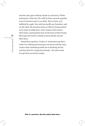and the only spots without clouds are all snowy. White mountains, white sky. We walk by three ancient, gnarled trees I've known since I was little. They're bent, as if buffeted by a gale. One side has hardly any branches, and on the other the branches look as if they're being sucked in by some invisible force. Like women with wind at their backs, parting their hair on the back of their heads, blowing it forward so it flutters horizontally around their faces.

Somewhere up there, I notice it. Somewhere up there, while I'm walking and staring at my boots and the snow, I notice that something inside me is thinking of God. And has been for a long time already – the entire time. Except that my mind is empty.